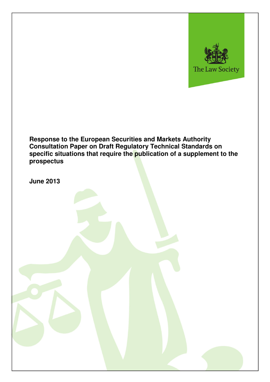

**Response to the European Securities and Markets Authority Consultation Paper on Draft Regulatory Technical Standards on specific situations that require the publication of a supplement to the prospectus** 

**June 2013**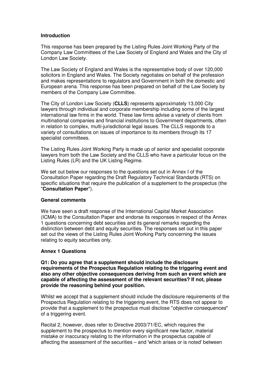# **Introduction**

This response has been prepared by the Listing Rules Joint Working Party of the Company Law Committees of the Law Society of England and Wales and the City of London Law Society.

The Law Society of England and Wales is the representative body of over 120,000 solicitors in England and Wales. The Society negotiates on behalf of the profession and makes representations to regulators and Government in both the domestic and European arena. This response has been prepared on behalf of the Law Society by members of the Company Law Committee.

The City of London Law Society (**CLLS**) represents approximately 13,000 City lawyers through individual and corporate membership including some of the largest international law firms in the world. These law firms advise a variety of clients from multinational companies and financial institutions to Government departments, often in relation to complex, multi-jurisdictional legal issues. The CLLS responds to a variety of consultations on issues of importance to its members through its 17 specialist committees.

The Listing Rules Joint Working Party is made up of senior and specialist corporate lawyers from both the Law Society and the CLLS who have a particular focus on the Listing Rules (LR) and the UK Listing Regime.

We set out below our responses to the questions set out in Annex I of the Consultation Paper regarding the Draft Regulatory Technical Standards (RTS) on specific situations that require the publication of a supplement to the prospectus (the "**Consultation Paper**").

#### **General comments**

We have seen a draft response of the International Capital Market Association (ICMA) to the Consultation Paper and endorse its responses in respect of the Annex 1 questions concerning debt securities and its general remarks regarding the distinction between debt and equity securities. The responses set out in this paper set out the views of the Listing Rules Joint Working Party concerning the issues relating to equity securities only.

## **Annex 1 Questions**

**Q1: Do you agree that a supplement should include the disclosure requirements of the Prospectus Regulation relating to the triggering event and also any other objective consequences deriving from such an event which are capable of affecting the assessment of the relevant securities? If not, please provide the reasoning behind your position.** 

Whilst we accept that a supplement should include the disclosure requirements of the Prospectus Regulation relating to the triggering event, the RTS does not appear to provide that a supplement to the prospectus must disclose "objective consequences" of a triggering event.

Recital 2, however, does refer to Directive 2003/71/EC, which requires the supplement to the prospectus to mention every significant new factor, material mistake or inaccuracy relating to the information in the prospectus capable of affecting the assessment of the securities – and 'which arises or is noted' between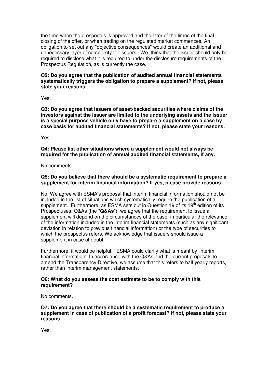the time when the prospectus is approved and the later of the times of the final closing of the offer, or when trading on the regulated market commences. An obligation to set out any "objective consequences" would create an additional and unnecessary layer of complexity for issuers. We think that the issuer should only be required to disclose what it is required to under the disclosure requirements of the Prospectus Regulation, as is currently the case.

## **Q2: Do you agree that the publication of audited annual financial statements systematically triggers the obligation to prepare a supplement? If not, please state your reasons.**

Yes.

**Q3: Do you agree that issuers of asset-backed securities where claims of the investors against the issuer are limited to the underlying assets and the issuer is a special purpose vehicle only have to prepare a supplement on a case by case basis for audited financial statements? If not, please state your reasons.** 

Yes.

**Q4: Please list other situations where a supplement would not always be required for the publication of annual audited financial statements, if any.** 

No comments.

# **Q5: Do you believe that there should be a systematic requirement to prepare a supplement for interim financial information? If yes, please provide reasons.**

No. We agree with ESMA's proposal that interim financial information should not be included in the list of situations which systematically require the publication of a supplement. Furthermore, as ESMA sets out in Question 19 of its  $19<sup>th</sup>$  edition of its Prospectuses: Q&As (the "**Q&As**"), we agree that the requirement to issue a supplement will depend on the circumstances of the case, in particular the relevance of the information included in the interim financial statements (such as any significant deviation in relation to previous financial information) or the type of securities to which the prospectus refers. We acknowledge that issuers should issue a supplement in case of doubt.

Furthermore, it would be helpful if ESMA could clarify what is meant by 'interim financial information'. In accordance with the Q&As and the current proposals to amend the Transparency Directive, we assume that this refers to half yearly reports, rather than interim management statements.

## **Q6: What do you assess the cost estimate to be to comply with this requirement?**

No comments.

**Q7: Do you agree that there should be a systematic requirement to produce a supplement in case of publication of a profit forecast? If not, please state your reasons.** 

Yes.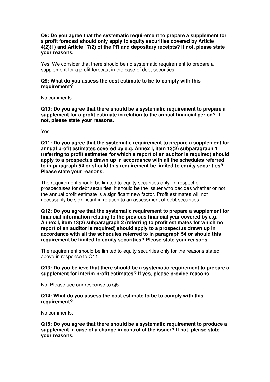**Q8: Do you agree that the systematic requirement to prepare a supplement for a profit forecast should only apply to equity securities covered by Article 4(2)(1) and Article 17(2) of the PR and depositary receipts? If not, please state your reasons.** 

Yes. We consider that there should be no systematic requirement to prepare a supplement for a profit forecast in the case of debt securities.

## **Q9: What do you assess the cost estimate to be to comply with this requirement?**

No comments.

**Q10: Do you agree that there should be a systematic requirement to prepare a supplement for a profit estimate in relation to the annual financial period? If not, please state your reasons.** 

Yes.

**Q11: Do you agree that the systematic requirement to prepare a supplement for annual profit estimates covered by e.g. Annex I, item 13(2) subparagraph 1 (referring to profit estimates for which a report of an auditor is required) should apply to a prospectus drawn up in accordance with all the schedules referred to in paragraph 54 or should this requirement be limited to equity securities? Please state your reasons.** 

The requirement should be limited to equity securities only. In respect of prospectuses for debt securities, it should be the issuer who decides whether or not the annual profit estimate is a significant new factor. Profit estimates will not necessarily be significant in relation to an assessment of debt securities.

**Q12: Do you agree that the systematic requirement to prepare a supplement for financial information relating to the previous financial year covered by e.g. Annex I, item 13(2) subparagraph 2 (referring to profit estimates for which no report of an auditor is required) should apply to a prospectus drawn up in accordance with all the schedules referred to in paragraph 54 or should this requirement be limited to equity securities? Please state your reasons.** 

The requirement should be limited to equity securities only for the reasons stated above in response to Q11.

## **Q13: Do you believe that there should be a systematic requirement to prepare a supplement for interim profit estimates? If yes, please provide reasons.**

No. Please see our response to Q5.

#### **Q14: What do you assess the cost estimate to be to comply with this requirement?**

No comments.

**Q15: Do you agree that there should be a systematic requirement to produce a supplement in case of a change in control of the issuer? If not, please state your reasons.**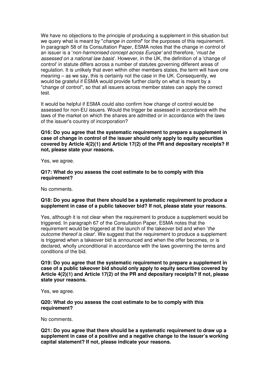We have no objections to the principle of producing a supplement in this situation but we query what is meant by "*change in control*" for the purposes of this requirement. In paragraph 58 of its Consultation Paper, ESMA notes that the change in control of an issuer is a 'non-harmonised concept across Europe' and therefore, 'must be assessed on a national law basis'. However, in the UK, the definition of a 'change of control' in statute differs across a number of statutes governing different areas of regulation. It is unlikely that even within other members states, the term will have one meaning – as we say, this is certainly not the case in the UK. Consequently, we would be grateful if ESMA would provide further clarity on what is meant by a "change of control", so that all issuers across member states can apply the correct test.

It would be helpful if ESMA could also confirm how change of control would be assessed for non-EU issuers. Would the trigger be assessed in accordance with the laws of the market on which the shares are admitted or in accordance with the laws of the issuer's country of incorporation?

**Q16: Do you agree that the systematic requirement to prepare a supplement in case of change in control of the issuer should only apply to equity securities covered by Article 4(2)(1) and Article 17(2) of the PR and depositary receipts? If not, please state your reasons.**

Yes, we agree.

### **Q17: What do you assess the cost estimate to be to comply with this requirement?**

No comments.

## **Q18: Do you agree that there should be a systematic requirement to produce a supplement in case of a public takeover bid? If not, please state your reasons.**

Yes, although it is not clear when the requirement to produce a supplement would be triggered. In paragraph 67 of the Consultation Paper, ESMA notes that the requirement would be triggered at the launch of the takeover bid and when 'the outcome thereof is clear'. We suggest that the requirement to produce a supplement is triggered when a takeover bid is announced and when the offer becomes, or is declared, wholly unconditional in accordance with the laws governing the terms and conditions of the bid.

**Q19: Do you agree that the systematic requirement to prepare a supplement in case of a public takeover bid should only apply to equity securities covered by Article 4(2)(1) and Article 17(2) of the PR and depositary receipts? If not, please state your reasons.** 

Yes, we agree.

**Q20: What do you assess the cost estimate to be to comply with this requirement?**

No comments.

**Q21: Do you agree that there should be a systematic requirement to draw up a supplement in case of a positive and a negative change to the issuer's working capital statement? If not, please indicate your reasons.**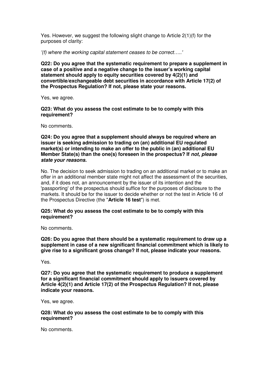Yes. However, we suggest the following slight change to Article 2(1)(f) for the purposes of clarity:

'(f) where the working capital statement ceases to be correct…..'

**Q22: Do you agree that the systematic requirement to prepare a supplement in case of a positive and a negative change to the issuer's working capital statement should apply to equity securities covered by 4(2)(1) and convertible/exchangeable debt securities in accordance with Article 17(2) of the Prospectus Regulation? If not, please state your reasons.** 

Yes, we agree.

**Q23: What do you assess the cost estimate to be to comply with this requirement?**

No comments.

**Q24: Do you agree that a supplement should always be required where an issuer is seeking admission to trading on (an) additional EU regulated market(s) or intending to make an offer to the public in (an) additional EU Member State(s) than the one(s) foreseen in the prospectus? If not, please state your reasons.** 

No. The decision to seek admission to trading on an additional market or to make an offer in an additional member state might not affect the assessment of the securities, and, if it does not, an announcement by the issuer of its intention and the 'passporting' of the prospectus should suffice for the purposes of disclosure to the markets. It should be for the issuer to decide whether or not the test in Article 16 of the Prospectus Directive (the "**Article 16 test**") is met.

## **Q25: What do you assess the cost estimate to be to comply with this requirement?**

No comments.

**Q26: Do you agree that there should be a systematic requirement to draw up a supplement in case of a new significant financial commitment which is likely to give rise to a significant gross change? If not, please indicate your reasons.** 

Yes.

**Q27: Do you agree that the systematic requirement to produce a supplement for a significant financial commitment should apply to issuers covered by Article 4(2)(1) and Article 17(2) of the Prospectus Regulation? If not, please indicate your reasons.** 

Yes, we agree.

### **Q28: What do you assess the cost estimate to be to comply with this requirement?**

No comments.